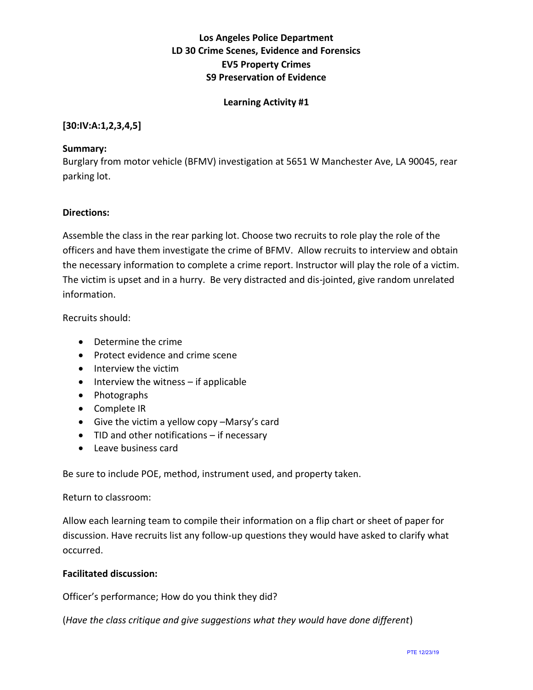# **Los Angeles Police Department LD 30 Crime Scenes, Evidence and Forensics EV5 Property Crimes S9 Preservation of Evidence**

### **Learning Activity #1**

## **[30:IV:A:1,2,3,4,5]**

#### **Summary:**

Burglary from motor vehicle (BFMV) investigation at 5651 W Manchester Ave, LA 90045, rear parking lot.

#### **Directions:**

Assemble the class in the rear parking lot. Choose two recruits to role play the role of the officers and have them investigate the crime of BFMV. Allow recruits to interview and obtain the necessary information to complete a crime report. Instructor will play the role of a victim. The victim is upset and in a hurry. Be very distracted and dis-jointed, give random unrelated information.

Recruits should:

- Determine the crime
- Protect evidence and crime scene
- Interview the victim
- Interview the witness if applicable
- Photographs
- Complete IR
- Give the victim a yellow copy –Marsy's card
- TID and other notifications if necessary
- Leave business card

Be sure to include POE, method, instrument used, and property taken.

#### Return to classroom:

Allow each learning team to compile their information on a flip chart or sheet of paper for discussion. Have recruits list any follow-up questions they would have asked to clarify what occurred.

#### **Facilitated discussion:**

Officer's performance; How do you think they did?

(*Have the class critique and give suggestions what they would have done different*)